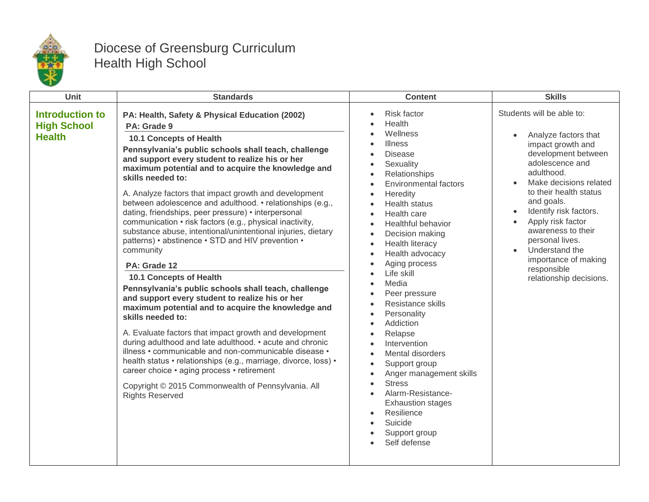

## Diocese of Greensburg Curriculum Health High School

| Unit                                                          | <b>Standards</b>                                                                                                                                                                                                                                                                                                                                                                                                                                                                                                                                                                                                                                                                                                                                                                                                                                                                                                                                                                                                                                                                                                                                                                                                                                                                         | <b>Content</b>                                                                                                                                                                                                                                                                                                                                                                                                                                                                                                                                                                                                                                                                                                                                                                                      | <b>Skills</b>                                                                                                                                                                                                                                                                                                                                                                                          |
|---------------------------------------------------------------|------------------------------------------------------------------------------------------------------------------------------------------------------------------------------------------------------------------------------------------------------------------------------------------------------------------------------------------------------------------------------------------------------------------------------------------------------------------------------------------------------------------------------------------------------------------------------------------------------------------------------------------------------------------------------------------------------------------------------------------------------------------------------------------------------------------------------------------------------------------------------------------------------------------------------------------------------------------------------------------------------------------------------------------------------------------------------------------------------------------------------------------------------------------------------------------------------------------------------------------------------------------------------------------|-----------------------------------------------------------------------------------------------------------------------------------------------------------------------------------------------------------------------------------------------------------------------------------------------------------------------------------------------------------------------------------------------------------------------------------------------------------------------------------------------------------------------------------------------------------------------------------------------------------------------------------------------------------------------------------------------------------------------------------------------------------------------------------------------------|--------------------------------------------------------------------------------------------------------------------------------------------------------------------------------------------------------------------------------------------------------------------------------------------------------------------------------------------------------------------------------------------------------|
| <b>Introduction to</b><br><b>High School</b><br><b>Health</b> | PA: Health, Safety & Physical Education (2002)<br>PA: Grade 9<br><b>10.1 Concepts of Health</b><br>Pennsylvania's public schools shall teach, challenge<br>and support every student to realize his or her<br>maximum potential and to acquire the knowledge and<br>skills needed to:<br>A. Analyze factors that impact growth and development<br>between adolescence and adulthood. • relationships (e.g.,<br>dating, friendships, peer pressure) • interpersonal<br>communication • risk factors (e.g., physical inactivity,<br>substance abuse, intentional/unintentional injuries, dietary<br>patterns) • abstinence • STD and HIV prevention •<br>community<br>PA: Grade 12<br><b>10.1 Concepts of Health</b><br>Pennsylvania's public schools shall teach, challenge<br>and support every student to realize his or her<br>maximum potential and to acquire the knowledge and<br>skills needed to:<br>A. Evaluate factors that impact growth and development<br>during adulthood and late adulthood. • acute and chronic<br>illness • communicable and non-communicable disease •<br>health status • relationships (e.g., marriage, divorce, loss) •<br>career choice · aging process · retirement<br>Copyright © 2015 Commonwealth of Pennsylvania. All<br><b>Rights Reserved</b> | <b>Risk factor</b><br>Health<br>Wellness<br>Illness<br><b>Disease</b><br>Sexuality<br>$\bullet$<br>Relationships<br>$\bullet$<br><b>Environmental factors</b><br>$\bullet$<br>Heredity<br>$\bullet$<br><b>Health status</b><br>$\bullet$<br>Health care<br>Healthful behavior<br>$\bullet$<br>Decision making<br><b>Health literacy</b><br>$\bullet$<br>Health advocacy<br>$\bullet$<br>Aging process<br>$\bullet$<br>Life skill<br>Media<br>Peer pressure<br>Resistance skills<br>Personality<br>Addiction<br>Relapse<br>Intervention<br>Mental disorders<br>$\bullet$<br>Support group<br>$\bullet$<br>Anger management skills<br><b>Stress</b><br>Alarm-Resistance-<br><b>Exhaustion stages</b><br>Resilience<br>$\bullet$<br>Suicide<br>$\bullet$<br>Support group<br>$\bullet$<br>Self defense | Students will be able to:<br>Analyze factors that<br>impact growth and<br>development between<br>adolescence and<br>adulthood.<br>Make decisions related<br>to their health status<br>and goals.<br>Identify risk factors.<br>Apply risk factor<br>$\bullet$<br>awareness to their<br>personal lives.<br>Understand the<br>$\bullet$<br>importance of making<br>responsible<br>relationship decisions. |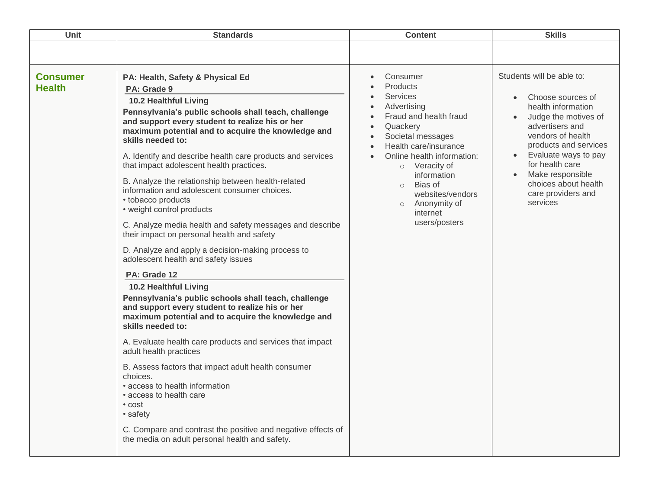| <b>Unit</b>                      | <b>Standards</b>                                                                                                                                                                                                                                                                                                                                                                                                                                                                                                                                                                                                                                                                                                                                                                                                                                                                                                                                                                                                                                                                                                                                                                                                                                                                                                                      | <b>Content</b>                                                                                                                                                                                                                                                                                                                                                     | <b>Skills</b>                                                                                                                                                                                                                                                                                                    |
|----------------------------------|---------------------------------------------------------------------------------------------------------------------------------------------------------------------------------------------------------------------------------------------------------------------------------------------------------------------------------------------------------------------------------------------------------------------------------------------------------------------------------------------------------------------------------------------------------------------------------------------------------------------------------------------------------------------------------------------------------------------------------------------------------------------------------------------------------------------------------------------------------------------------------------------------------------------------------------------------------------------------------------------------------------------------------------------------------------------------------------------------------------------------------------------------------------------------------------------------------------------------------------------------------------------------------------------------------------------------------------|--------------------------------------------------------------------------------------------------------------------------------------------------------------------------------------------------------------------------------------------------------------------------------------------------------------------------------------------------------------------|------------------------------------------------------------------------------------------------------------------------------------------------------------------------------------------------------------------------------------------------------------------------------------------------------------------|
|                                  |                                                                                                                                                                                                                                                                                                                                                                                                                                                                                                                                                                                                                                                                                                                                                                                                                                                                                                                                                                                                                                                                                                                                                                                                                                                                                                                                       |                                                                                                                                                                                                                                                                                                                                                                    |                                                                                                                                                                                                                                                                                                                  |
| <b>Consumer</b><br><b>Health</b> | PA: Health, Safety & Physical Ed<br>PA: Grade 9<br>10.2 Healthful Living<br>Pennsylvania's public schools shall teach, challenge<br>and support every student to realize his or her<br>maximum potential and to acquire the knowledge and<br>skills needed to:<br>A. Identify and describe health care products and services<br>that impact adolescent health practices.<br>B. Analyze the relationship between health-related<br>information and adolescent consumer choices.<br>• tobacco products<br>• weight control products<br>C. Analyze media health and safety messages and describe<br>their impact on personal health and safety<br>D. Analyze and apply a decision-making process to<br>adolescent health and safety issues<br>PA: Grade 12<br>10.2 Healthful Living<br>Pennsylvania's public schools shall teach, challenge<br>and support every student to realize his or her<br>maximum potential and to acquire the knowledge and<br>skills needed to:<br>A. Evaluate health care products and services that impact<br>adult health practices<br>B. Assess factors that impact adult health consumer<br>choices.<br>• access to health information<br>• access to health care<br>• cost<br>• safety<br>C. Compare and contrast the positive and negative effects of<br>the media on adult personal health and safety. | Consumer<br>$\bullet$<br>Products<br><b>Services</b><br>Advertising<br>$\bullet$<br>Fraud and health fraud<br>$\bullet$<br>Quackery<br>$\bullet$<br>Societal messages<br>Health care/insurance<br>$\bullet$<br>Online health information:<br>o Veracity of<br>information<br>o Bias of<br>websites/vendors<br>Anonymity of<br>$\circ$<br>internet<br>users/posters | Students will be able to:<br>Choose sources of<br>$\bullet$<br>health information<br>Judge the motives of<br>advertisers and<br>vendors of health<br>products and services<br>Evaluate ways to pay<br>$\bullet$<br>for health care<br>Make responsible<br>choices about health<br>care providers and<br>services |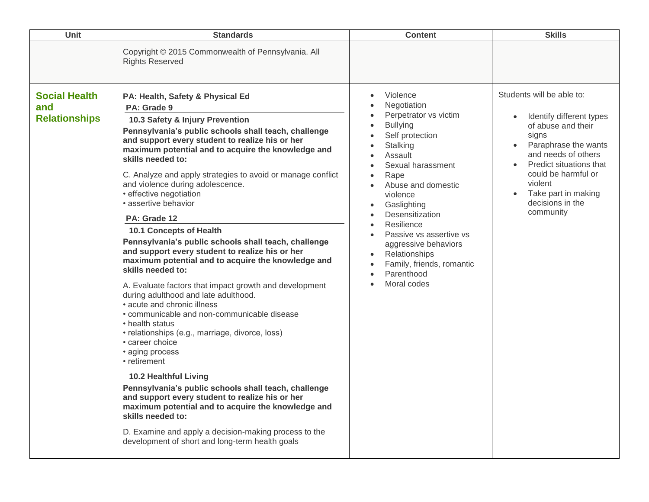| <b>Unit</b>                                         | <b>Standards</b>                                                                                                                                                                                                                                                                                                                                                                                                                                                                                                                                                                                                                                                                                                                                                                                                                                                                                                                                                                                                                                                                                                                                                                                                                                                                                              | <b>Content</b>                                                                                                                                                                                                                                                                                                                                                                                                                                                                  | <b>Skills</b>                                                                                                                                                                                                                                                         |
|-----------------------------------------------------|---------------------------------------------------------------------------------------------------------------------------------------------------------------------------------------------------------------------------------------------------------------------------------------------------------------------------------------------------------------------------------------------------------------------------------------------------------------------------------------------------------------------------------------------------------------------------------------------------------------------------------------------------------------------------------------------------------------------------------------------------------------------------------------------------------------------------------------------------------------------------------------------------------------------------------------------------------------------------------------------------------------------------------------------------------------------------------------------------------------------------------------------------------------------------------------------------------------------------------------------------------------------------------------------------------------|---------------------------------------------------------------------------------------------------------------------------------------------------------------------------------------------------------------------------------------------------------------------------------------------------------------------------------------------------------------------------------------------------------------------------------------------------------------------------------|-----------------------------------------------------------------------------------------------------------------------------------------------------------------------------------------------------------------------------------------------------------------------|
|                                                     | Copyright © 2015 Commonwealth of Pennsylvania. All<br><b>Rights Reserved</b>                                                                                                                                                                                                                                                                                                                                                                                                                                                                                                                                                                                                                                                                                                                                                                                                                                                                                                                                                                                                                                                                                                                                                                                                                                  |                                                                                                                                                                                                                                                                                                                                                                                                                                                                                 |                                                                                                                                                                                                                                                                       |
| <b>Social Health</b><br>and<br><b>Relationships</b> | PA: Health, Safety & Physical Ed<br>PA: Grade 9<br>10.3 Safety & Injury Prevention<br>Pennsylvania's public schools shall teach, challenge<br>and support every student to realize his or her<br>maximum potential and to acquire the knowledge and<br>skills needed to:<br>C. Analyze and apply strategies to avoid or manage conflict<br>and violence during adolescence.<br>• effective negotiation<br>· assertive behavior<br>PA: Grade 12<br>10.1 Concepts of Health<br>Pennsylvania's public schools shall teach, challenge<br>and support every student to realize his or her<br>maximum potential and to acquire the knowledge and<br>skills needed to:<br>A. Evaluate factors that impact growth and development<br>during adulthood and late adulthood.<br>• acute and chronic illness<br>• communicable and non-communicable disease<br>• health status<br>• relationships (e.g., marriage, divorce, loss)<br>• career choice<br>• aging process<br>• retirement<br><b>10.2 Healthful Living</b><br>Pennsylvania's public schools shall teach, challenge<br>and support every student to realize his or her<br>maximum potential and to acquire the knowledge and<br>skills needed to:<br>D. Examine and apply a decision-making process to the<br>development of short and long-term health goals | Violence<br>$\bullet$<br>Negotiation<br>Perpetrator vs victim<br><b>Bullying</b><br>Self protection<br>Stalking<br>Assault<br>Sexual harassment<br>Rape<br>$\bullet$<br>Abuse and domestic<br>violence<br>Gaslighting<br>$\bullet$<br>Desensitization<br>Resilience<br>$\bullet$<br>Passive vs assertive vs<br>$\bullet$<br>aggressive behaviors<br>Relationships<br>$\bullet$<br>Family, friends, romantic<br>$\bullet$<br>Parenthood<br>$\bullet$<br>Moral codes<br>$\bullet$ | Students will be able to:<br>Identify different types<br>$\bullet$<br>of abuse and their<br>signs<br>Paraphrase the wants<br>and needs of others<br>Predict situations that<br>could be harmful or<br>violent<br>Take part in making<br>decisions in the<br>community |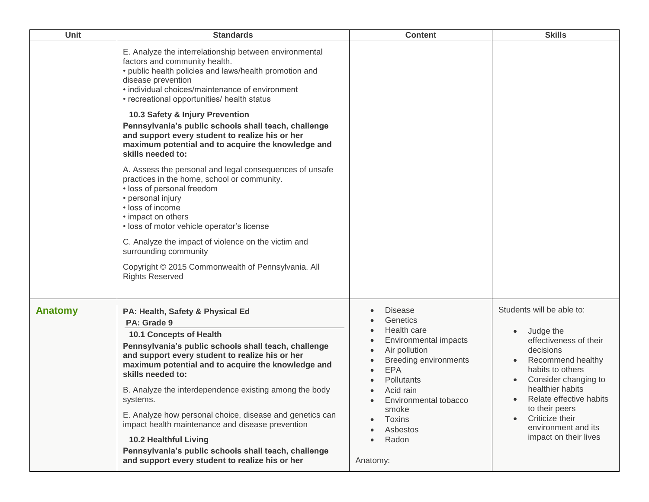| Unit    | <b>Standards</b>                                                                                                                                                                                                                                                                                                                                                                                                                                                                                                                                                                                                                                                                                                                                                                                                                                                                                                        | <b>Content</b>                                                                                                                                                                                                                                                                   | <b>Skills</b>                                                                                                                                                                                                                                                                                                |
|---------|-------------------------------------------------------------------------------------------------------------------------------------------------------------------------------------------------------------------------------------------------------------------------------------------------------------------------------------------------------------------------------------------------------------------------------------------------------------------------------------------------------------------------------------------------------------------------------------------------------------------------------------------------------------------------------------------------------------------------------------------------------------------------------------------------------------------------------------------------------------------------------------------------------------------------|----------------------------------------------------------------------------------------------------------------------------------------------------------------------------------------------------------------------------------------------------------------------------------|--------------------------------------------------------------------------------------------------------------------------------------------------------------------------------------------------------------------------------------------------------------------------------------------------------------|
|         | E. Analyze the interrelationship between environmental<br>factors and community health.<br>• public health policies and laws/health promotion and<br>disease prevention<br>• individual choices/maintenance of environment<br>• recreational opportunities/ health status<br>10.3 Safety & Injury Prevention<br>Pennsylvania's public schools shall teach, challenge<br>and support every student to realize his or her<br>maximum potential and to acquire the knowledge and<br>skills needed to:<br>A. Assess the personal and legal consequences of unsafe<br>practices in the home, school or community.<br>· loss of personal freedom<br>• personal injury<br>· loss of income<br>• impact on others<br>· loss of motor vehicle operator's license<br>C. Analyze the impact of violence on the victim and<br>surrounding community<br>Copyright © 2015 Commonwealth of Pennsylvania. All<br><b>Rights Reserved</b> |                                                                                                                                                                                                                                                                                  |                                                                                                                                                                                                                                                                                                              |
| Anatomy | PA: Health, Safety & Physical Ed<br>PA: Grade 9<br><b>10.1 Concepts of Health</b><br>Pennsylvania's public schools shall teach, challenge<br>and support every student to realize his or her<br>maximum potential and to acquire the knowledge and<br>skills needed to:<br>B. Analyze the interdependence existing among the body<br>systems.<br>E. Analyze how personal choice, disease and genetics can<br>impact health maintenance and disease prevention<br><b>10.2 Healthful Living</b><br>Pennsylvania's public schools shall teach, challenge<br>and support every student to realize his or her                                                                                                                                                                                                                                                                                                                | <b>Disease</b><br>Genetics<br>Health care<br>Environmental impacts<br>Air pollution<br><b>Breeding environments</b><br><b>EPA</b><br>Pollutants<br>Acid rain<br>$\bullet$<br>Environmental tobacco<br>$\bullet$<br>smoke<br>Toxins<br>Asbestos<br>Radon<br>$\bullet$<br>Anatomy: | Students will be able to:<br>Judge the<br>$\bullet$<br>effectiveness of their<br>decisions<br>Recommend healthy<br>habits to others<br>Consider changing to<br>healthier habits<br>Relate effective habits<br>$\bullet$<br>to their peers<br>Criticize their<br>environment and its<br>impact on their lives |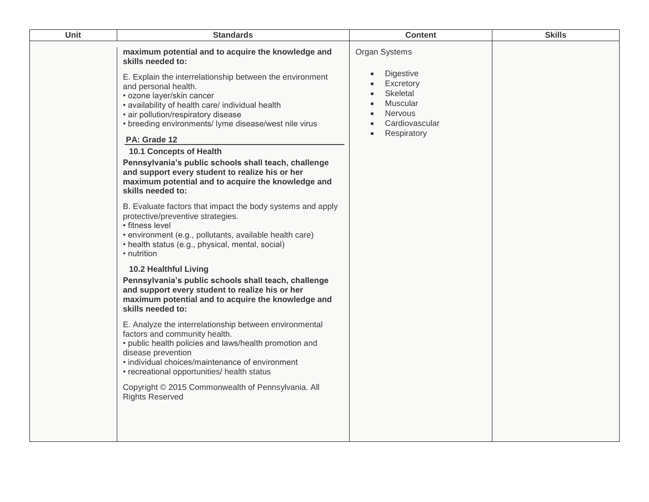| Unit | <b>Standards</b>                                                                                                                                                                                                                                                                                                                                                                                                                                                                                                                                                                                                                                                                                                                                                                                                                                                                                                                                                                                                                                                                                                                                                                                                                                                                                                                                                                                                            | <b>Content</b>                                                                                                                        | <b>Skills</b> |
|------|-----------------------------------------------------------------------------------------------------------------------------------------------------------------------------------------------------------------------------------------------------------------------------------------------------------------------------------------------------------------------------------------------------------------------------------------------------------------------------------------------------------------------------------------------------------------------------------------------------------------------------------------------------------------------------------------------------------------------------------------------------------------------------------------------------------------------------------------------------------------------------------------------------------------------------------------------------------------------------------------------------------------------------------------------------------------------------------------------------------------------------------------------------------------------------------------------------------------------------------------------------------------------------------------------------------------------------------------------------------------------------------------------------------------------------|---------------------------------------------------------------------------------------------------------------------------------------|---------------|
|      | maximum potential and to acquire the knowledge and<br>skills needed to:<br>E. Explain the interrelationship between the environment<br>and personal health.<br>• ozone layer/skin cancer<br>• availability of health care/ individual health<br>• air pollution/respiratory disease<br>• breeding environments/ lyme disease/west nile virus<br>PA: Grade 12<br><b>10.1 Concepts of Health</b><br>Pennsylvania's public schools shall teach, challenge<br>and support every student to realize his or her<br>maximum potential and to acquire the knowledge and<br>skills needed to:<br>B. Evaluate factors that impact the body systems and apply<br>protective/preventive strategies.<br>• fitness level<br>• environment (e.g., pollutants, available health care)<br>• health status (e.g., physical, mental, social)<br>• nutrition<br><b>10.2 Healthful Living</b><br>Pennsylvania's public schools shall teach, challenge<br>and support every student to realize his or her<br>maximum potential and to acquire the knowledge and<br>skills needed to:<br>E. Analyze the interrelationship between environmental<br>factors and community health.<br>• public health policies and laws/health promotion and<br>disease prevention<br>• individual choices/maintenance of environment<br>• recreational opportunities/ health status<br>Copyright © 2015 Commonwealth of Pennsylvania. All<br><b>Rights Reserved</b> | Organ Systems<br>Digestive<br>$\bullet$<br>Excretory<br>Skeletal<br>Muscular<br>$\bullet$<br>Nervous<br>Cardiovascular<br>Respiratory |               |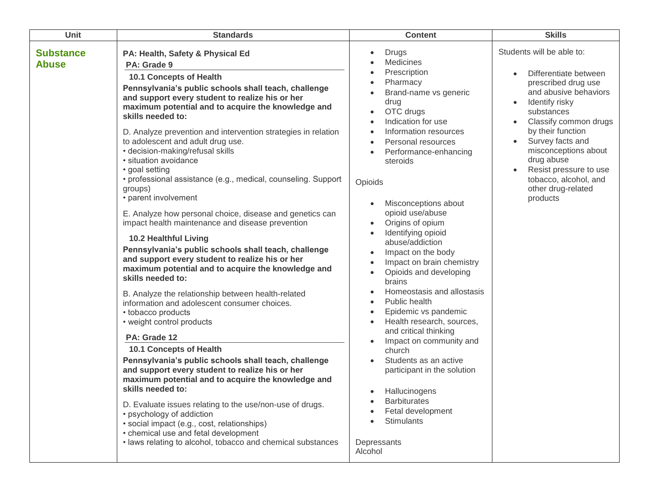| Unit                             | <b>Standards</b>                                                                                                                                                                                                                                                                                                                                                                                                                                                                                                                                                                                                                                                                                                                                                                                                                                                                                                                                                                                                                                                                                                                                                                                                                                                                                                                                                                                                                                                                                                                         | <b>Content</b>                                                                                                                                                                                                                                                                                                                                                                                                                                                                                                                                                                                                                                                                                                                                                                                                     | <b>Skills</b>                                                                                                                                                                                                                                                                                                                   |
|----------------------------------|------------------------------------------------------------------------------------------------------------------------------------------------------------------------------------------------------------------------------------------------------------------------------------------------------------------------------------------------------------------------------------------------------------------------------------------------------------------------------------------------------------------------------------------------------------------------------------------------------------------------------------------------------------------------------------------------------------------------------------------------------------------------------------------------------------------------------------------------------------------------------------------------------------------------------------------------------------------------------------------------------------------------------------------------------------------------------------------------------------------------------------------------------------------------------------------------------------------------------------------------------------------------------------------------------------------------------------------------------------------------------------------------------------------------------------------------------------------------------------------------------------------------------------------|--------------------------------------------------------------------------------------------------------------------------------------------------------------------------------------------------------------------------------------------------------------------------------------------------------------------------------------------------------------------------------------------------------------------------------------------------------------------------------------------------------------------------------------------------------------------------------------------------------------------------------------------------------------------------------------------------------------------------------------------------------------------------------------------------------------------|---------------------------------------------------------------------------------------------------------------------------------------------------------------------------------------------------------------------------------------------------------------------------------------------------------------------------------|
| <b>Substance</b><br><b>Abuse</b> | PA: Health, Safety & Physical Ed<br>PA: Grade 9<br>10.1 Concepts of Health<br>Pennsylvania's public schools shall teach, challenge<br>and support every student to realize his or her<br>maximum potential and to acquire the knowledge and<br>skills needed to:<br>D. Analyze prevention and intervention strategies in relation<br>to adolescent and adult drug use.<br>• decision-making/refusal skills<br>· situation avoidance<br>• goal setting<br>• professional assistance (e.g., medical, counseling. Support<br>groups)<br>• parent involvement<br>E. Analyze how personal choice, disease and genetics can<br>impact health maintenance and disease prevention<br><b>10.2 Healthful Living</b><br>Pennsylvania's public schools shall teach, challenge<br>and support every student to realize his or her<br>maximum potential and to acquire the knowledge and<br>skills needed to:<br>B. Analyze the relationship between health-related<br>information and adolescent consumer choices.<br>• tobacco products<br>• weight control products<br>PA: Grade 12<br>10.1 Concepts of Health<br>Pennsylvania's public schools shall teach, challenge<br>and support every student to realize his or her<br>maximum potential and to acquire the knowledge and<br>skills needed to:<br>D. Evaluate issues relating to the use/non-use of drugs.<br>• psychology of addiction<br>· social impact (e.g., cost, relationships)<br>• chemical use and fetal development<br>· laws relating to alcohol, tobacco and chemical substances | <b>Drugs</b><br>$\bullet$<br>Medicines<br>Prescription<br>Pharmacy<br>Brand-name vs generic<br>drug<br>OTC drugs<br>Indication for use<br>Information resources<br>Personal resources<br>Performance-enhancing<br>steroids<br>Opioids<br>Misconceptions about<br>opioid use/abuse<br>Origins of opium<br>Identifying opioid<br>$\bullet$<br>abuse/addiction<br>Impact on the body<br>Impact on brain chemistry<br>Opioids and developing<br>$\bullet$<br>brains<br>Homeostasis and allostasis<br>Public health<br>Epidemic vs pandemic<br>Health research, sources,<br>and critical thinking<br>Impact on community and<br>church<br>Students as an active<br>participant in the solution<br>Hallucinogens<br>$\bullet$<br><b>Barbiturates</b><br>Fetal development<br><b>Stimulants</b><br>Depressants<br>Alcohol | Students will be able to:<br>Differentiate between<br>prescribed drug use<br>and abusive behaviors<br>Identify risky<br>substances<br>Classify common drugs<br>by their function<br>Survey facts and<br>misconceptions about<br>drug abuse<br>Resist pressure to use<br>tobacco, alcohol, and<br>other drug-related<br>products |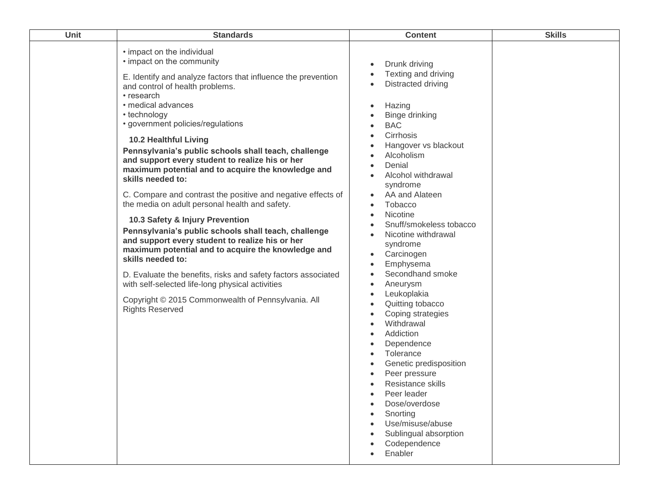| Unit | <b>Standards</b>                                                                                                                                                                                                                                                                                                                                                                                                                                                                                                                                                                                                                                                                                                                                                                                                                                                                                                                                                                                                           | <b>Content</b>                                                                                                                                                                                                                                                                                                                                                                                                                                                                                                                                                                                                                                                                                                                           | <b>Skills</b> |
|------|----------------------------------------------------------------------------------------------------------------------------------------------------------------------------------------------------------------------------------------------------------------------------------------------------------------------------------------------------------------------------------------------------------------------------------------------------------------------------------------------------------------------------------------------------------------------------------------------------------------------------------------------------------------------------------------------------------------------------------------------------------------------------------------------------------------------------------------------------------------------------------------------------------------------------------------------------------------------------------------------------------------------------|------------------------------------------------------------------------------------------------------------------------------------------------------------------------------------------------------------------------------------------------------------------------------------------------------------------------------------------------------------------------------------------------------------------------------------------------------------------------------------------------------------------------------------------------------------------------------------------------------------------------------------------------------------------------------------------------------------------------------------------|---------------|
|      | • impact on the individual<br>• impact on the community<br>E. Identify and analyze factors that influence the prevention<br>and control of health problems.<br>• research<br>· medical advances<br>• technology<br>· government policies/regulations<br><b>10.2 Healthful Living</b><br>Pennsylvania's public schools shall teach, challenge<br>and support every student to realize his or her<br>maximum potential and to acquire the knowledge and<br>skills needed to:<br>C. Compare and contrast the positive and negative effects of<br>the media on adult personal health and safety.<br>10.3 Safety & Injury Prevention<br>Pennsylvania's public schools shall teach, challenge<br>and support every student to realize his or her<br>maximum potential and to acquire the knowledge and<br>skills needed to:<br>D. Evaluate the benefits, risks and safety factors associated<br>with self-selected life-long physical activities<br>Copyright © 2015 Commonwealth of Pennsylvania. All<br><b>Rights Reserved</b> | Drunk driving<br>$\bullet$<br>Texting and driving<br>Distracted driving<br>$\bullet$<br>Hazing<br>$\bullet$<br>Binge drinking<br><b>BAC</b><br>Cirrhosis<br>Hangover vs blackout<br>Alcoholism<br>Denial<br>Alcohol withdrawal<br>syndrome<br>AA and Alateen<br>Tobacco<br>$\bullet$<br>Nicotine<br>Snuff/smokeless tobacco<br>Nicotine withdrawal<br>syndrome<br>Carcinogen<br>Emphysema<br>Secondhand smoke<br>Aneurysm<br>Leukoplakia<br>Quitting tobacco<br>Coping strategies<br>Withdrawal<br>Addiction<br>Dependence<br>Tolerance<br>$\bullet$<br>Genetic predisposition<br>Peer pressure<br>Resistance skills<br>Peer leader<br>Dose/overdose<br>Snorting<br>Use/misuse/abuse<br>Sublingual absorption<br>Codependence<br>Enabler |               |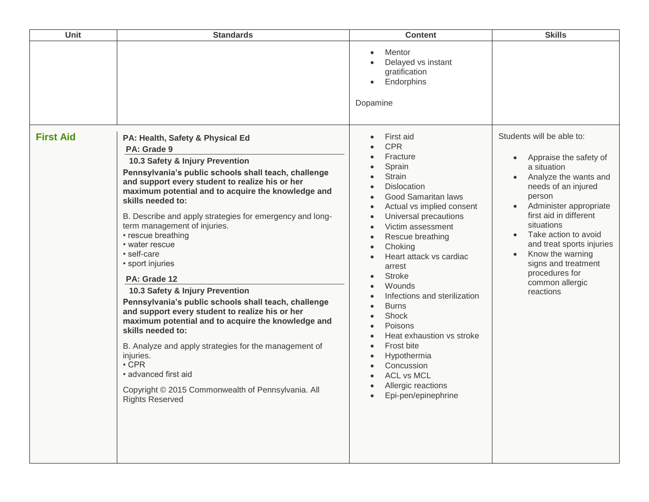| <b>Unit</b>      | <b>Standards</b>                                                                                                                                                                                                                                                                                                                                                                                                                                                                                                                                                                                                                                                                                                                                                                                                                                                                      | <b>Content</b>                                                                                                                                                                                                                                                                                                                                                                                                                                                                                                                                                                                                                                                                                         | <b>Skills</b>                                                                                                                                                                                                                                                                                                                                                                                        |
|------------------|---------------------------------------------------------------------------------------------------------------------------------------------------------------------------------------------------------------------------------------------------------------------------------------------------------------------------------------------------------------------------------------------------------------------------------------------------------------------------------------------------------------------------------------------------------------------------------------------------------------------------------------------------------------------------------------------------------------------------------------------------------------------------------------------------------------------------------------------------------------------------------------|--------------------------------------------------------------------------------------------------------------------------------------------------------------------------------------------------------------------------------------------------------------------------------------------------------------------------------------------------------------------------------------------------------------------------------------------------------------------------------------------------------------------------------------------------------------------------------------------------------------------------------------------------------------------------------------------------------|------------------------------------------------------------------------------------------------------------------------------------------------------------------------------------------------------------------------------------------------------------------------------------------------------------------------------------------------------------------------------------------------------|
|                  |                                                                                                                                                                                                                                                                                                                                                                                                                                                                                                                                                                                                                                                                                                                                                                                                                                                                                       | Mentor<br>$\bullet$<br>Delayed vs instant<br>gratification<br>Endorphins<br>$\bullet$<br>Dopamine                                                                                                                                                                                                                                                                                                                                                                                                                                                                                                                                                                                                      |                                                                                                                                                                                                                                                                                                                                                                                                      |
| <b>First Aid</b> | PA: Health, Safety & Physical Ed<br>PA: Grade 9<br>10.3 Safety & Injury Prevention<br>Pennsylvania's public schools shall teach, challenge<br>and support every student to realize his or her<br>maximum potential and to acquire the knowledge and<br>skills needed to:<br>B. Describe and apply strategies for emergency and long-<br>term management of injuries.<br>• rescue breathing<br>• water rescue<br>· self-care<br>• sport injuries<br>PA: Grade 12<br>10.3 Safety & Injury Prevention<br>Pennsylvania's public schools shall teach, challenge<br>and support every student to realize his or her<br>maximum potential and to acquire the knowledge and<br>skills needed to:<br>B. Analyze and apply strategies for the management of<br>injuries.<br>$\cdot$ CPR<br>· advanced first aid<br>Copyright © 2015 Commonwealth of Pennsylvania. All<br><b>Rights Reserved</b> | First aid<br>$\bullet$<br><b>CPR</b><br>Fracture<br>Sprain<br><b>Strain</b><br>$\bullet$<br><b>Dislocation</b><br>$\bullet$<br>Good Samaritan laws<br>$\bullet$<br>Actual vs implied consent<br>$\bullet$<br>Universal precautions<br>$\bullet$<br>Victim assessment<br>$\bullet$<br>Rescue breathing<br>$\bullet$<br>Choking<br>$\bullet$<br>Heart attack vs cardiac<br>arrest<br><b>Stroke</b><br>Wounds<br>Infections and sterilization<br>$\bullet$<br><b>Burns</b><br>$\bullet$<br>Shock<br>$\bullet$<br>Poisons<br>$\bullet$<br>Heat exhaustion vs stroke<br>Frost bite<br>$\bullet$<br>Hypothermia<br>$\bullet$<br>Concussion<br><b>ACL vs MCL</b><br>Allergic reactions<br>Epi-pen/epinephrine | Students will be able to:<br>Appraise the safety of<br>$\bullet$<br>a situation<br>Analyze the wants and<br>needs of an injured<br>person<br>Administer appropriate<br>$\bullet$<br>first aid in different<br>situations<br>Take action to avoid<br>$\bullet$<br>and treat sports injuries<br>Know the warning<br>$\bullet$<br>signs and treatment<br>procedures for<br>common allergic<br>reactions |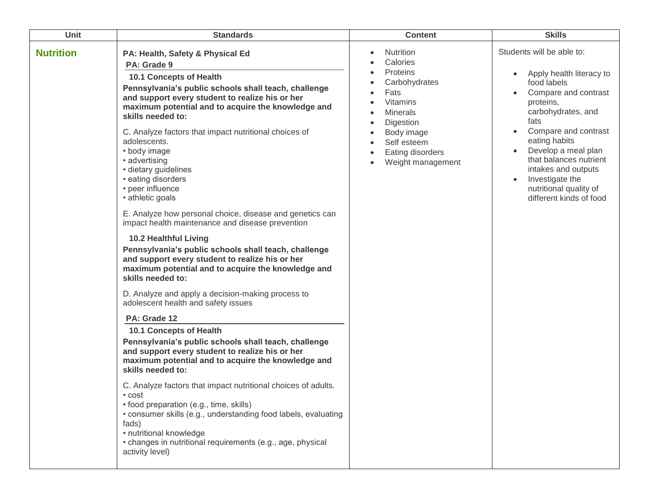| Unit             | <b>Standards</b>                                                                                                                                                                                                                                                                                                                                                                                                                                                                                                                                                                                                                                                                                                                                                                                                                                                                                                                                                                                                                                                                                                                                                                                                                                                                                                                                                                                                                          | <b>Content</b>                                                                                                                                                                      | <b>Skills</b>                                                                                                                                                                                                                                                                                                                                                                        |
|------------------|-------------------------------------------------------------------------------------------------------------------------------------------------------------------------------------------------------------------------------------------------------------------------------------------------------------------------------------------------------------------------------------------------------------------------------------------------------------------------------------------------------------------------------------------------------------------------------------------------------------------------------------------------------------------------------------------------------------------------------------------------------------------------------------------------------------------------------------------------------------------------------------------------------------------------------------------------------------------------------------------------------------------------------------------------------------------------------------------------------------------------------------------------------------------------------------------------------------------------------------------------------------------------------------------------------------------------------------------------------------------------------------------------------------------------------------------|-------------------------------------------------------------------------------------------------------------------------------------------------------------------------------------|--------------------------------------------------------------------------------------------------------------------------------------------------------------------------------------------------------------------------------------------------------------------------------------------------------------------------------------------------------------------------------------|
| <b>Nutrition</b> | PA: Health, Safety & Physical Ed<br>PA: Grade 9<br>10.1 Concepts of Health<br>Pennsylvania's public schools shall teach, challenge<br>and support every student to realize his or her<br>maximum potential and to acquire the knowledge and<br>skills needed to:<br>C. Analyze factors that impact nutritional choices of<br>adolescents.<br>• body image<br>• advertising<br>· dietary guidelines<br>• eating disorders<br>• peer influence<br>• athletic goals<br>E. Analyze how personal choice, disease and genetics can<br>impact health maintenance and disease prevention<br>10.2 Healthful Living<br>Pennsylvania's public schools shall teach, challenge<br>and support every student to realize his or her<br>maximum potential and to acquire the knowledge and<br>skills needed to:<br>D. Analyze and apply a decision-making process to<br>adolescent health and safety issues<br>PA: Grade 12<br>10.1 Concepts of Health<br>Pennsylvania's public schools shall teach, challenge<br>and support every student to realize his or her<br>maximum potential and to acquire the knowledge and<br>skills needed to:<br>C. Analyze factors that impact nutritional choices of adults.<br>• cost<br>• food preparation (e.g., time, skills)<br>• consumer skills (e.g., understanding food labels, evaluating<br>fads)<br>• nutritional knowledge<br>• changes in nutritional requirements (e.g., age, physical<br>activity level) | Nutrition<br>Calories<br>Proteins<br>Carbohydrates<br>Fats<br><b>Vitamins</b><br><b>Minerals</b><br>Digestion<br>Body image<br>Self esteem<br>Eating disorders<br>Weight management | Students will be able to:<br>Apply health literacy to<br>$\bullet$<br>food labels<br>Compare and contrast<br>proteins,<br>carbohydrates, and<br>fats<br>Compare and contrast<br>$\bullet$<br>eating habits<br>Develop a meal plan<br>$\bullet$<br>that balances nutrient<br>intakes and outputs<br>Investigate the<br>$\bullet$<br>nutritional quality of<br>different kinds of food |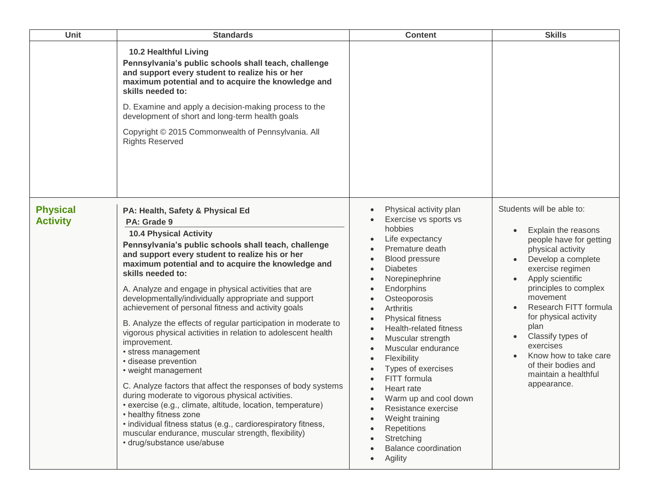| Unit                               | <b>Standards</b>                                                                                                                                                                                                                                                                                                                                                                                                                                                                                                                                                                                                                                                                                                                                                                                                                                                                                                                                                                                                                          | <b>Content</b>                                                                                                                                                                                                                                                                                                                                                                                                                                                                                                                                                                                                                                                                                        | <b>Skills</b>                                                                                                                                                                                                                                                                                                                                                                                                    |
|------------------------------------|-------------------------------------------------------------------------------------------------------------------------------------------------------------------------------------------------------------------------------------------------------------------------------------------------------------------------------------------------------------------------------------------------------------------------------------------------------------------------------------------------------------------------------------------------------------------------------------------------------------------------------------------------------------------------------------------------------------------------------------------------------------------------------------------------------------------------------------------------------------------------------------------------------------------------------------------------------------------------------------------------------------------------------------------|-------------------------------------------------------------------------------------------------------------------------------------------------------------------------------------------------------------------------------------------------------------------------------------------------------------------------------------------------------------------------------------------------------------------------------------------------------------------------------------------------------------------------------------------------------------------------------------------------------------------------------------------------------------------------------------------------------|------------------------------------------------------------------------------------------------------------------------------------------------------------------------------------------------------------------------------------------------------------------------------------------------------------------------------------------------------------------------------------------------------------------|
|                                    | <b>10.2 Healthful Living</b><br>Pennsylvania's public schools shall teach, challenge<br>and support every student to realize his or her<br>maximum potential and to acquire the knowledge and<br>skills needed to:<br>D. Examine and apply a decision-making process to the<br>development of short and long-term health goals<br>Copyright © 2015 Commonwealth of Pennsylvania. All<br><b>Rights Reserved</b>                                                                                                                                                                                                                                                                                                                                                                                                                                                                                                                                                                                                                            |                                                                                                                                                                                                                                                                                                                                                                                                                                                                                                                                                                                                                                                                                                       |                                                                                                                                                                                                                                                                                                                                                                                                                  |
| <b>Physical</b><br><b>Activity</b> | PA: Health, Safety & Physical Ed<br>PA: Grade 9<br><b>10.4 Physical Activity</b><br>Pennsylvania's public schools shall teach, challenge<br>and support every student to realize his or her<br>maximum potential and to acquire the knowledge and<br>skills needed to:<br>A. Analyze and engage in physical activities that are<br>developmentally/individually appropriate and support<br>achievement of personal fitness and activity goals<br>B. Analyze the effects of regular participation in moderate to<br>vigorous physical activities in relation to adolescent health<br>improvement.<br>• stress management<br>· disease prevention<br>• weight management<br>C. Analyze factors that affect the responses of body systems<br>during moderate to vigorous physical activities.<br>• exercise (e.g., climate, altitude, location, temperature)<br>• healthy fitness zone<br>• individual fitness status (e.g., cardiorespiratory fitness,<br>muscular endurance, muscular strength, flexibility)<br>· drug/substance use/abuse | Physical activity plan<br>$\bullet$<br>Exercise vs sports vs<br>hobbies<br>Life expectancy<br>$\bullet$<br>Premature death<br>Blood pressure<br>$\bullet$<br><b>Diabetes</b><br>$\bullet$<br>Norepinephrine<br>Endorphins<br>Osteoporosis<br>Arthritis<br>$\bullet$<br><b>Physical fitness</b><br>$\bullet$<br>Health-related fitness<br>$\bullet$<br>Muscular strength<br>$\bullet$<br>Muscular endurance<br>$\bullet$<br>Flexibility<br>$\bullet$<br>Types of exercises<br>FITT formula<br>Heart rate<br>Warm up and cool down<br>$\bullet$<br>Resistance exercise<br>$\bullet$<br>Weight training<br>$\bullet$<br>Repetitions<br>Stretching<br><b>Balance coordination</b><br>Agility<br>$\bullet$ | Students will be able to:<br>Explain the reasons<br>people have for getting<br>physical activity<br>Develop a complete<br>exercise regimen<br>Apply scientific<br>$\bullet$<br>principles to complex<br>movement<br>Research FITT formula<br>for physical activity<br>plan<br>Classify types of<br>$\bullet$<br>exercises<br>Know how to take care<br>of their bodies and<br>maintain a healthful<br>appearance. |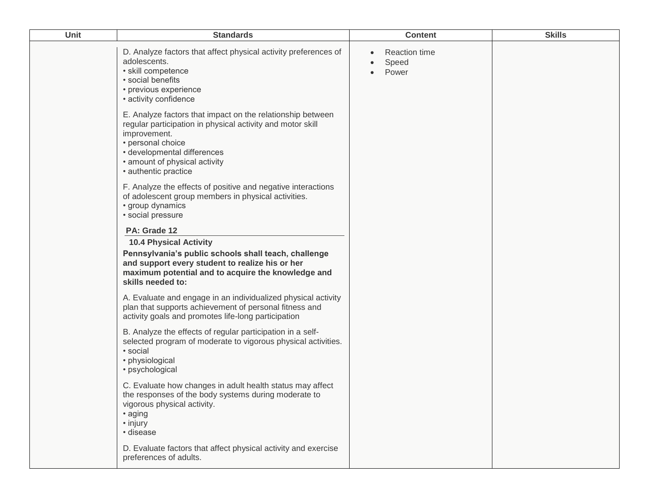| Unit | <b>Standards</b>                                                                                                                                                                                                                                      | <b>Content</b>                         | <b>Skills</b> |
|------|-------------------------------------------------------------------------------------------------------------------------------------------------------------------------------------------------------------------------------------------------------|----------------------------------------|---------------|
|      | D. Analyze factors that affect physical activity preferences of<br>adolescents.<br>· skill competence<br>· social benefits<br>• previous experience<br>• activity confidence                                                                          | <b>Reaction time</b><br>Speed<br>Power |               |
|      | E. Analyze factors that impact on the relationship between<br>regular participation in physical activity and motor skill<br>improvement.<br>• personal choice<br>• developmental differences<br>• amount of physical activity<br>• authentic practice |                                        |               |
|      | F. Analyze the effects of positive and negative interactions<br>of adolescent group members in physical activities.<br>• group dynamics<br>· social pressure                                                                                          |                                        |               |
|      | PA: Grade 12                                                                                                                                                                                                                                          |                                        |               |
|      | <b>10.4 Physical Activity</b><br>Pennsylvania's public schools shall teach, challenge<br>and support every student to realize his or her<br>maximum potential and to acquire the knowledge and<br>skills needed to:                                   |                                        |               |
|      | A. Evaluate and engage in an individualized physical activity<br>plan that supports achievement of personal fitness and<br>activity goals and promotes life-long participation                                                                        |                                        |               |
|      | B. Analyze the effects of regular participation in a self-<br>selected program of moderate to vigorous physical activities.<br>• social<br>• physiological<br>· psychological                                                                         |                                        |               |
|      | C. Evaluate how changes in adult health status may affect<br>the responses of the body systems during moderate to<br>vigorous physical activity.<br>• aging<br>• injury<br>· disease                                                                  |                                        |               |
|      | D. Evaluate factors that affect physical activity and exercise<br>preferences of adults.                                                                                                                                                              |                                        |               |